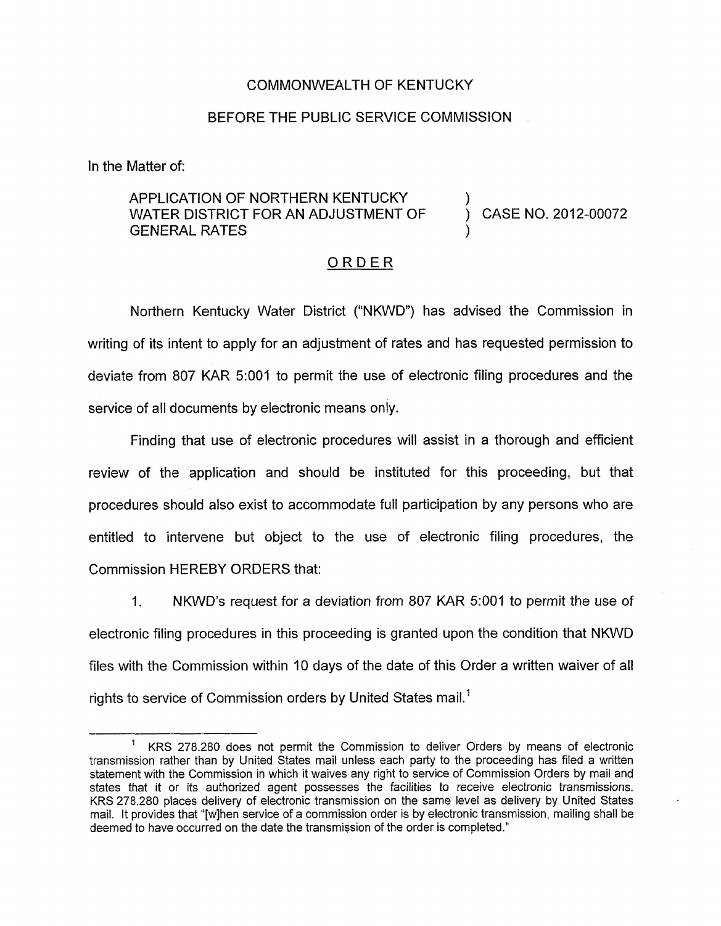## COMMONWEALTH OF KENTUCKY

## BEFORE THE PUBLIC SERVICE COMMISSION

In the Matter of:

## APPLICATION OF NORTHERN KENTUCKY WATER DISTRICT FOR AN ADJUSTMENT OF GENERAL RATES

) CASE NO. 2012-00072

)

)

## ORDER

Northern Kentucky Water District ("NKWD") has advised the Commission in writing of its intent to apply for an adjustment of rates and has requested permission to deviate from 807 KAR 5:OOl to permit the use of electronic filing procedures and the service of all documents by electronic means only.

Finding that use of electronic procedures will assist in a thorough and efficient review of the application and should be instituted for this proceeding, but that procedures should also exist to accommodate full participation by any persons who are entitled to intervene but object to the use of electronic filing procedures, the Commission HEREBY ORDERS that:

1. NKWD's request for a deviation from 807 KAR 5:OOl to permit the use of electronic filing procedures in this proceeding is granted upon the condition that NKWD files with the Commission within IO days of the date of this Order a written waiver of all rights to service of Commission orders by United States mail.'

<sup>&</sup>lt;sup>1</sup> KRS 278.280 does not permit the Commission to deliver Orders by means of electronic transmission rather than by United States mail unless each party to the proceeding has filed a written statement with the Commission in which it waives any right to service of Commission Orders by mail and states that it or its authorized agent possesses the facilities to receive electronic transmissions. KRS 278.280 places delivery of electronic transmission on the same level as delivery by United States mail. It provides that "[wlhen service of a commission order is by electronic transmission, mailing shall be deemed to have occurred on the date the transmission of the order is completed."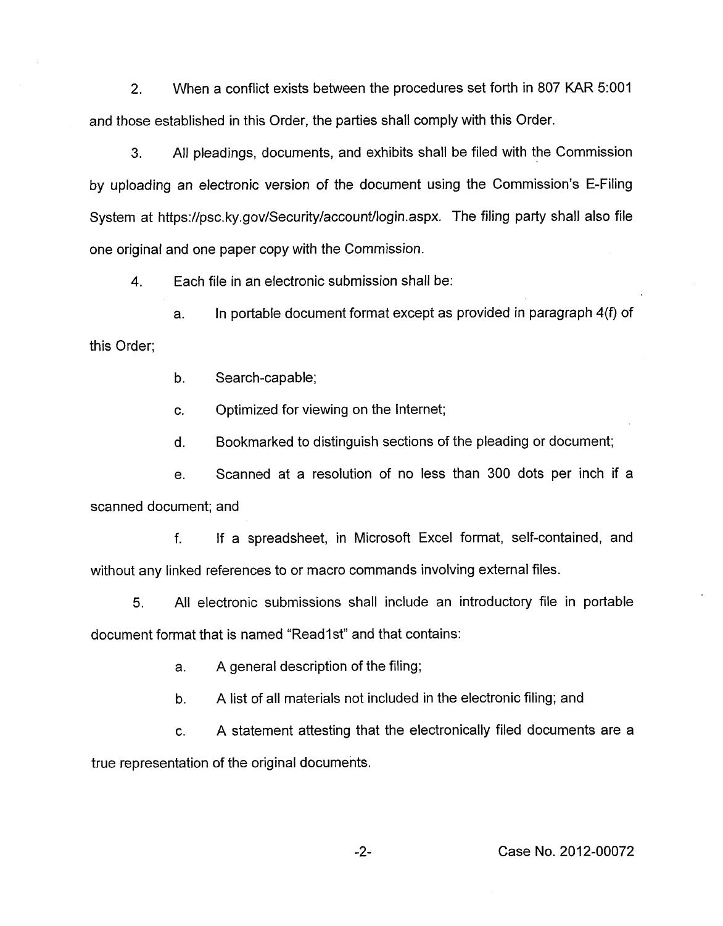2. When a conflict exists between the procedures set forth in 807 KAR 5:OOl and those established in this Order, the parties shall comply with this Order.

**3.** All pleadings, documents, and exhibits shall be filed with the Commission by uploading an electronic version of the document using the Commission's E-Filing System at [https://psc.](https://psc) ky.gov/Security/account/login.aspx. The filing party shall also file one original and one paper copy with the Commission.

**4.** Each file in an electronic submission shall be:

a. In portable document format except as provided in paragraph 4(f) of this Order;

b. Search-capable;

c. Optimized for viewing on the Internet;

d. Bookmarked to distinguish sections of the pleading or document;

e. Scanned at a resolution of no less than 300 dots per inch if a scanned document; and

f. If a spreadsheet, in Microsoft Excel format, self-contained, and without any linked references to or macro commands involving external files.

5. All electronic submissions shall include an introductory file in portable document format that is named "Read1st" and that contains:

a. A general description of the filing;

b. A list of all materials not included in the electronic filing; and

c. A statement attesting that the electronically filed documents are a true representation of the original documents.

-2- Case No. 2012-00072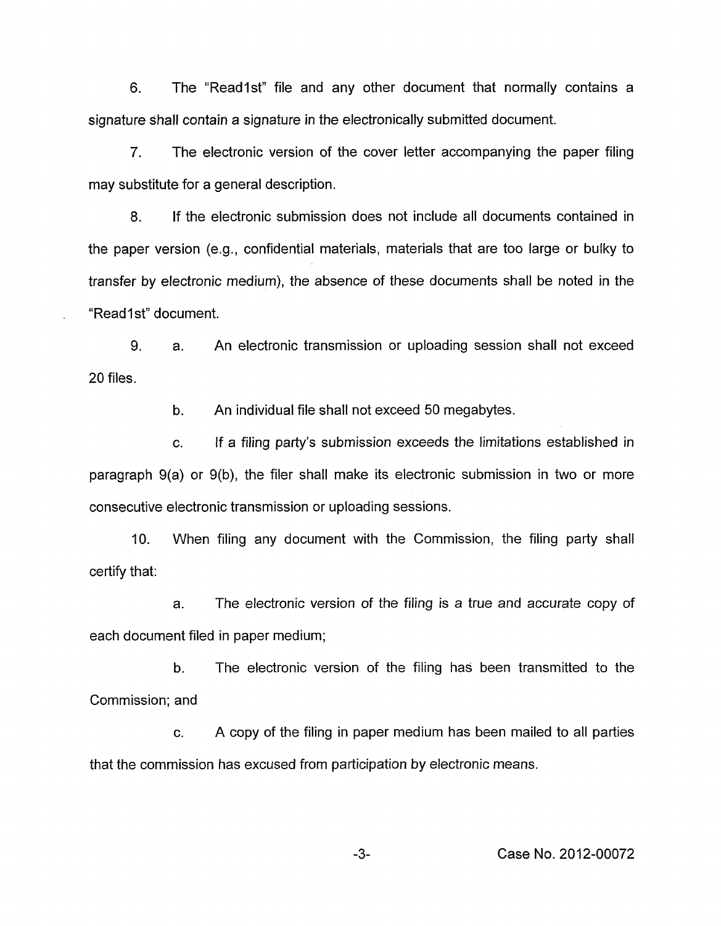6. The "Readlst" file and any other document that normally contains a signature shall contain a signature in the electronically submitted document.

7. The electronic version of the cover letter accompanying the paper filing may substitute for a general description.

8. If the electronic submission does not include all documents contained in the paper version (e.g., confidential materials, materials that are too large or bulky to transfer by electronic medium), the absence of these documents shall be noted in the "Read1 st" document.

9. 20 files. a. An electronic transmission or uploading session shall not exceed

> b. An individual file shall not exceed 50 megabytes.

c. If a filing party's submission exceeds the limitations established in paragraph 9(a) or 9(b), the filer shall make its electronic submission in two or more consecutive electronic transmission or uploading sessions.

IO. When filing any document with the Commission, the filing party shall certify that:

a. The electronic version of the filing is a true and accurate copy of each document filed in paper medium;

b. The electronic version of the filing has been transmitted to the Commission; and

c. A copy of the filing in paper medium has been mailed to all parties that the commission has excused from participation by electronic means.

**-3-** Case No. 2012-00072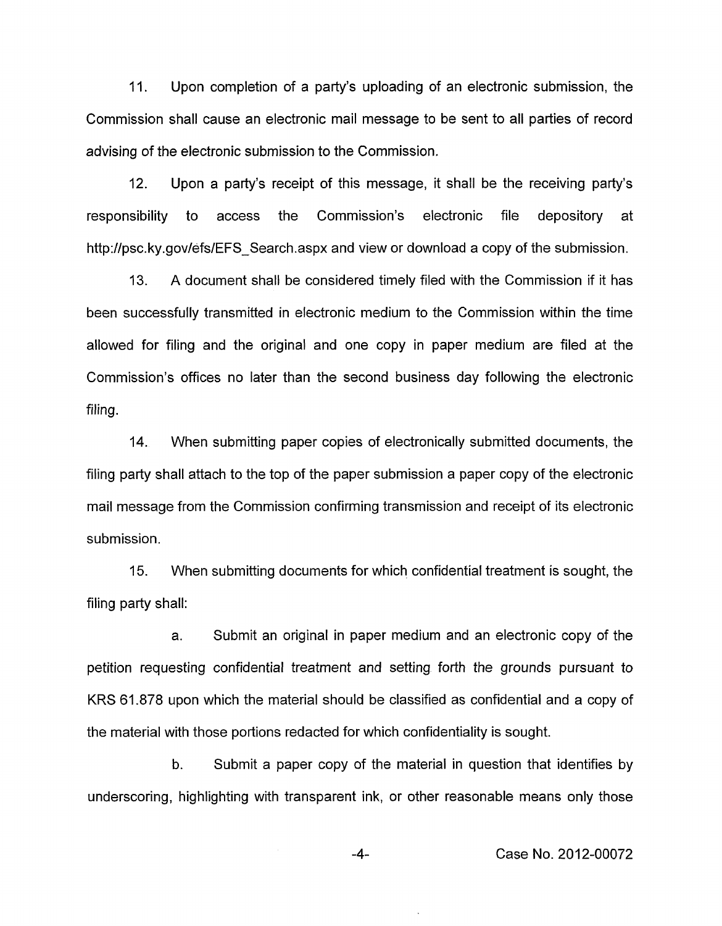11. Upon completion of a party's uploading of an electronic submission, the Commission shall cause an electronic mail message to be sent to all parties of record advising of the electronic submission to the Commission.

12. Upon a party's receipt of this message, it shall be the receiving party's responsibility to access the Commission's electronic file depository at [http://psc.](http://psc) ky.gov/efs/EFS-Search.aspx and view or download a copy of the submission.

A document shall be considered timely filed with the Commission if it has been successfully transmitted in electronic medium to the Commission within the time allowed for filing and the original and one copy in paper medium are filed at the Commission's offices no later than the second business day following the electronic filing. 13.

14. When submitting paper copies of electronically submitted documents, the filing party shall attach to the top of the paper submission a paper copy of the electronic mail message from the Commission confirming transmission and receipt of its electronic submission.

15. filing party shall: When submitting documents for which confidential treatment is sought, the

a. Submit an original in paper medium and an electronic copy of the petition requesting confidential treatment and setting forth the grounds pursuant to KRS 61.878 upon which the material should be classified as confidential and a copy of the material with those portions redacted for which confidentiality is sought.

b. Submit a paper copy of the material in question that identifies by underscoring, highlighting with transparent ink, or other reasonable means only those

-4- Case No. 2012-00072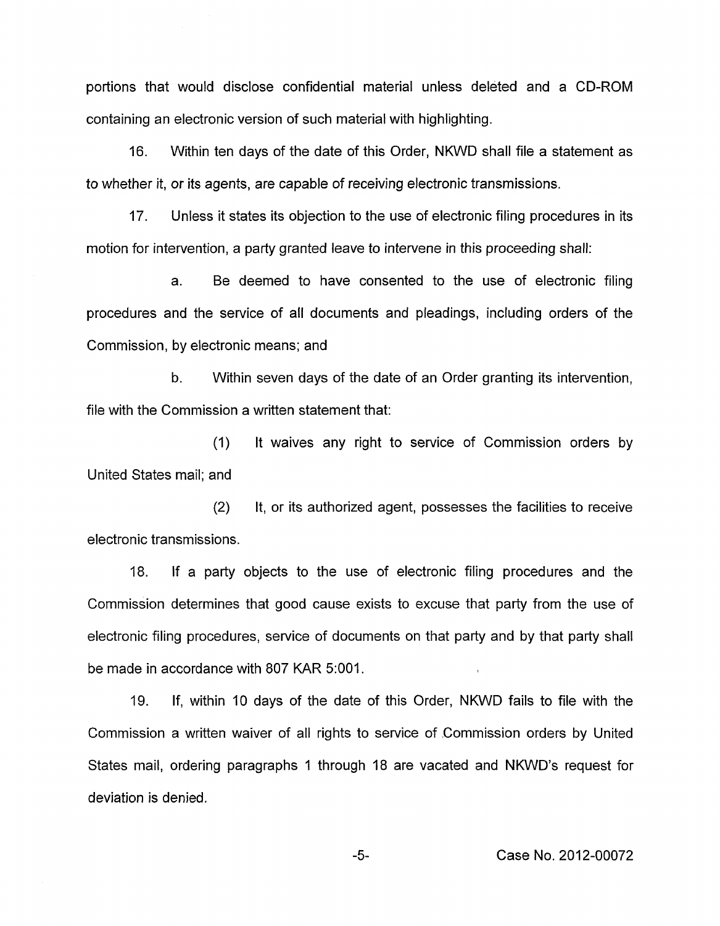portions that would disclose confidential material unless deleted and a CD-ROM containing an electronic version of such material with highlighting.

16. Within ten days of the date of this Order, NKWD shall file a statement as to whether it, or its agents, are capable of receiving electronic transmissions.

17. Unless it states its objection to the use of electronic filing procedures in its motion for intervention, a party granted leave to intervene in this proceeding shall:

a. Be deemed to have consented to the use of electronic filing procedures and the service of all documents and pleadings, including orders of the Commission, by electronic means; and

b. Within seven days of the date of an Order granting its intervention, file with the Commission a written statement that:

(1) United States mail; and It waives any right to service of Commission orders by

(2) It, or its authorized agent, possesses the facilities to receive electronic transmissions.

18. If a party objects to the use of electronic filing procedures and the Commission determines that good cause exists to excuse that party from the use of electronic filing procedures, service of documents on that party and by that party shall be made in accordance with 807 KAR 5:001.

19. If, within 10 days of the date of this Order, NKWD fails to file with the Commission a written waiver of all rights to service of Commission orders by United States mail, ordering paragraphs 1 through 18 are vacated and NKWD's request for deviation is denied.

-5- Case No. 2012-00072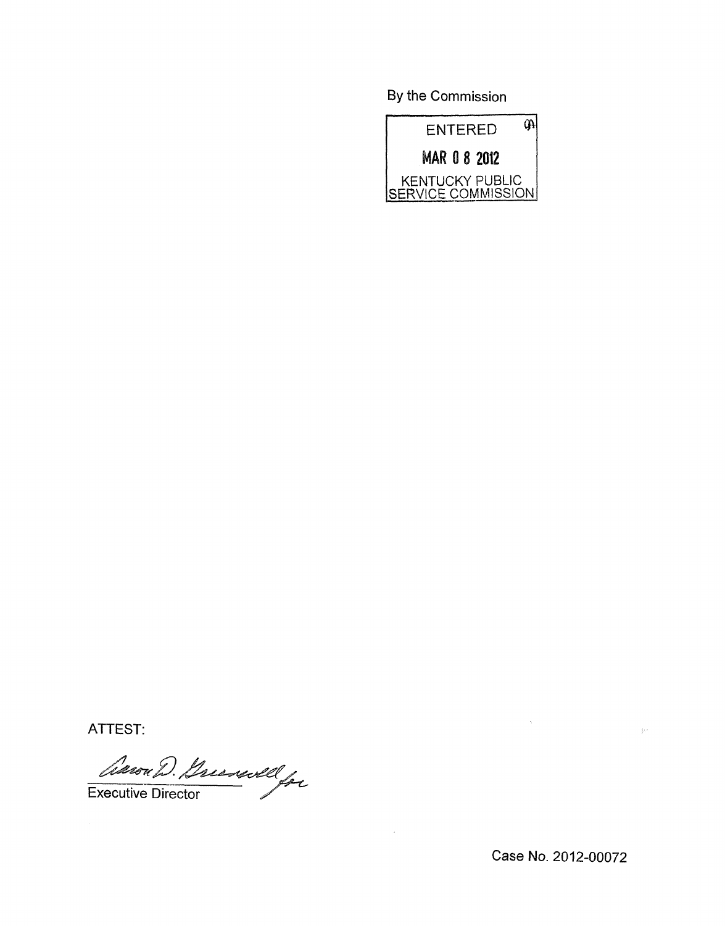By the Commission



ATTEST:

Executive Director

Case **No.** 2012-00072

 $\mathbb{R}^{n}$ 

 $\hat{\gamma}$